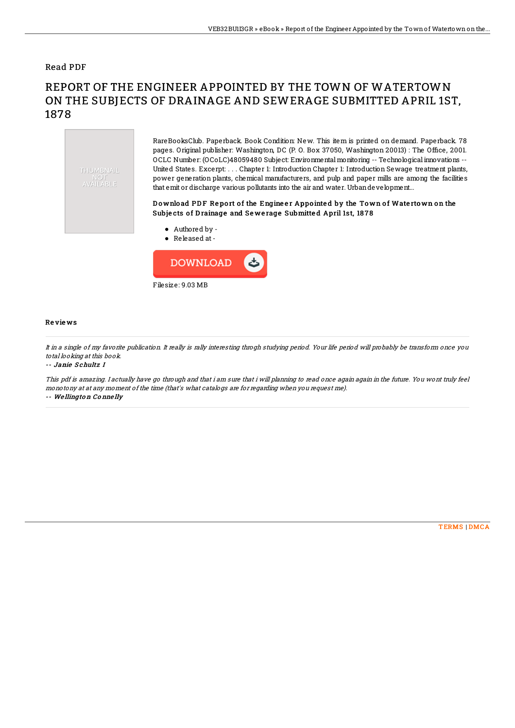## Read PDF

# REPORT OF THE ENGINEER APPOINTED BY THE TOWN OF WATERTOWN ON THE SUBJECTS OF DRAINAGE AND SEWERAGE SUBMITTED APRIL 1ST, 1878



RareBooksClub. Paperback. Book Condition: New. This item is printed on demand. Paperback. 78 pages. Original publisher: Washington, DC (P. O. Box 37050, Washington 20013) : The Office, 2001. OCLC Number: (OCoLC)48059480 Subject: Environmental monitoring -- Technological innovations -- United States. Excerpt: . . . Chapter 1: Introduction Chapter 1: Introduction Sewage treatment plants, power generation plants, chemical manufacturers, and pulp and paper mills are among the facilities that emit or discharge various pollutants into the air and water. Urbandevelopment...

### Download PDF Report of the Engineer Appointed by the Town of Watertown on the Subjects of Drainage and Sewerage Submitted April 1st, 1878

- Authored by -
- Released at-



#### Re vie ws

It in <sup>a</sup> single of my favorite publication. It really is rally interesting throgh studying period. Your life period will probably be transform once you total looking at this book.

-- Janie Schultz I

This pdf is amazing. I actually have go through and that i am sure that i will planning to read once again again in the future. You wont truly feel monotony at at any moment of the time (that's what catalogs are for regarding when you request me). -- We llingto <sup>n</sup> Co nne lly